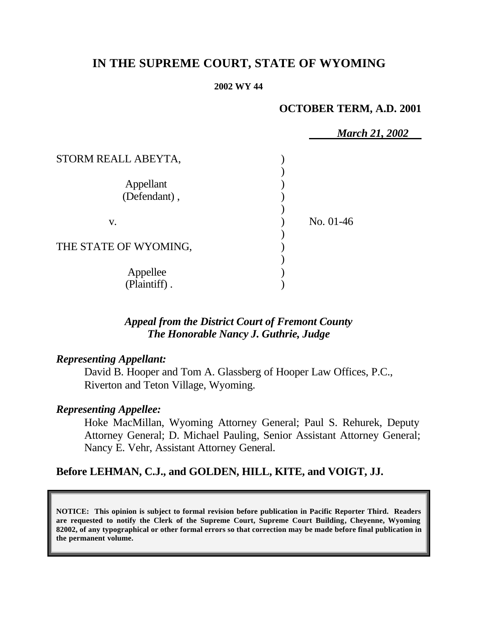# **IN THE SUPREME COURT, STATE OF WYOMING**

#### **2002 WY 44**

## **OCTOBER TERM, A.D. 2001**

|                       | <b>March 21, 2002</b> |
|-----------------------|-----------------------|
| STORM REALL ABEYTA,   |                       |
|                       |                       |
| Appellant             |                       |
| (Defendant),          |                       |
|                       |                       |
| V.                    | No. 01-46             |
|                       |                       |
| THE STATE OF WYOMING, |                       |
|                       |                       |
| Appellee              |                       |
| (Plaintiff).          |                       |

## *Appeal from the District Court of Fremont County The Honorable Nancy J. Guthrie, Judge*

### *Representing Appellant:*

David B. Hooper and Tom A. Glassberg of Hooper Law Offices, P.C., Riverton and Teton Village, Wyoming.

# *Representing Appellee:*

Hoke MacMillan, Wyoming Attorney General; Paul S. Rehurek, Deputy Attorney General; D. Michael Pauling, Senior Assistant Attorney General; Nancy E. Vehr, Assistant Attorney General.

### **Before LEHMAN, C.J., and GOLDEN, HILL, KITE, and VOIGT, JJ.**

**NOTICE: This opinion is subject to formal revision before publication in Pacific Reporter Third. Readers are requested to notify the Clerk of the Supreme Court, Supreme Court Building, Cheyenne, Wyoming 82002, of any typographical or other formal errors so that correction may be made before final publication in the permanent volume.**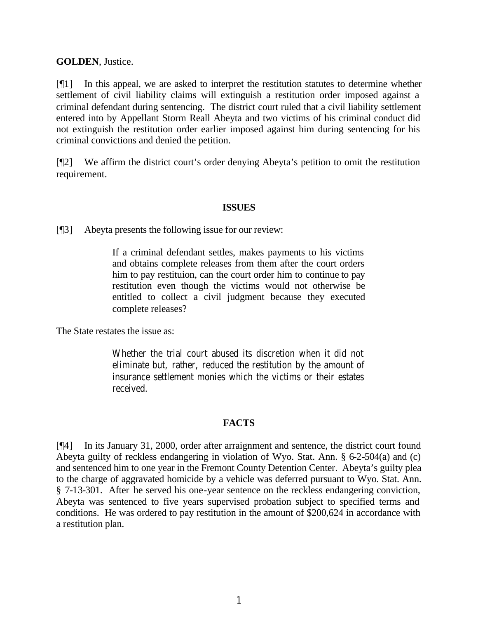#### **GOLDEN**, Justice.

[¶1] In this appeal, we are asked to interpret the restitution statutes to determine whether settlement of civil liability claims will extinguish a restitution order imposed against a criminal defendant during sentencing. The district court ruled that a civil liability settlement entered into by Appellant Storm Reall Abeyta and two victims of his criminal conduct did not extinguish the restitution order earlier imposed against him during sentencing for his criminal convictions and denied the petition.

[¶2] We affirm the district court's order denying Abeyta's petition to omit the restitution requirement.

#### **ISSUES**

[¶3] Abeyta presents the following issue for our review:

If a criminal defendant settles, makes payments to his victims and obtains complete releases from them after the court orders him to pay restituion, can the court order him to continue to pay restitution even though the victims would not otherwise be entitled to collect a civil judgment because they executed complete releases?

The State restates the issue as:

Whether the trial court abused its discretion when it did not eliminate but, rather, reduced the restitution by the amount of insurance settlement monies which the victims or their estates received.

#### **FACTS**

[¶4] In its January 31, 2000, order after arraignment and sentence, the district court found Abeyta guilty of reckless endangering in violation of Wyo. Stat. Ann. § 6-2-504(a) and (c) and sentenced him to one year in the Fremont County Detention Center. Abeyta's guilty plea to the charge of aggravated homicide by a vehicle was deferred pursuant to Wyo. Stat. Ann. § 7-13-301. After he served his one-year sentence on the reckless endangering conviction, Abeyta was sentenced to five years supervised probation subject to specified terms and conditions. He was ordered to pay restitution in the amount of \$200,624 in accordance with a restitution plan.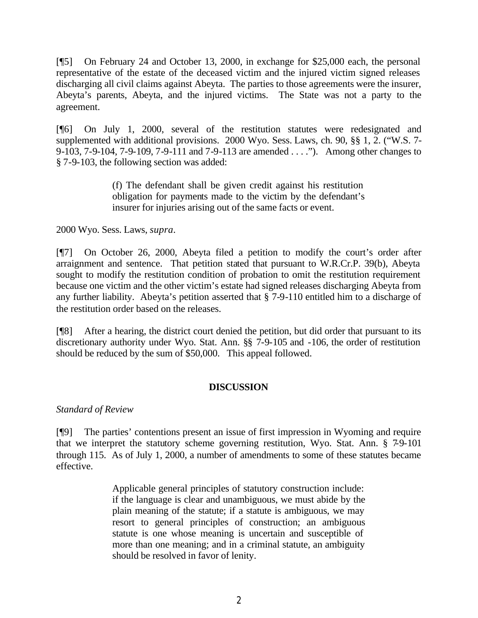[¶5] On February 24 and October 13, 2000, in exchange for \$25,000 each, the personal representative of the estate of the deceased victim and the injured victim signed releases discharging all civil claims against Abeyta. The parties to those agreements were the insurer, Abeyta's parents, Abeyta, and the injured victims. The State was not a party to the agreement.

[¶6] On July 1, 2000, several of the restitution statutes were redesignated and supplemented with additional provisions. 2000 Wyo. Sess. Laws, ch. 90, §§ 1, 2. ("W.S. 7-9-103, 7-9-104, 7-9-109, 7-9-111 and 7-9-113 are amended . . . ."). Among other changes to § 7-9-103, the following section was added:

> (f) The defendant shall be given credit against his restitution obligation for payments made to the victim by the defendant's insurer for injuries arising out of the same facts or event.

2000 Wyo. Sess. Laws, *supra*.

[¶7] On October 26, 2000, Abeyta filed a petition to modify the court's order after arraignment and sentence. That petition stated that pursuant to W.R.Cr.P. 39(b), Abeyta sought to modify the restitution condition of probation to omit the restitution requirement because one victim and the other victim's estate had signed releases discharging Abeyta from any further liability. Abeyta's petition asserted that § 7-9-110 entitled him to a discharge of the restitution order based on the releases.

[¶8] After a hearing, the district court denied the petition, but did order that pursuant to its discretionary authority under Wyo. Stat. Ann. §§ 7-9-105 and -106, the order of restitution should be reduced by the sum of \$50,000. This appeal followed.

### **DISCUSSION**

### *Standard of Review*

[¶9] The parties' contentions present an issue of first impression in Wyoming and require that we interpret the statutory scheme governing restitution, Wyo. Stat. Ann. § 7-9-101 through 115. As of July 1, 2000, a number of amendments to some of these statutes became effective.

> Applicable general principles of statutory construction include: if the language is clear and unambiguous, we must abide by the plain meaning of the statute; if a statute is ambiguous, we may resort to general principles of construction; an ambiguous statute is one whose meaning is uncertain and susceptible of more than one meaning; and in a criminal statute, an ambiguity should be resolved in favor of lenity.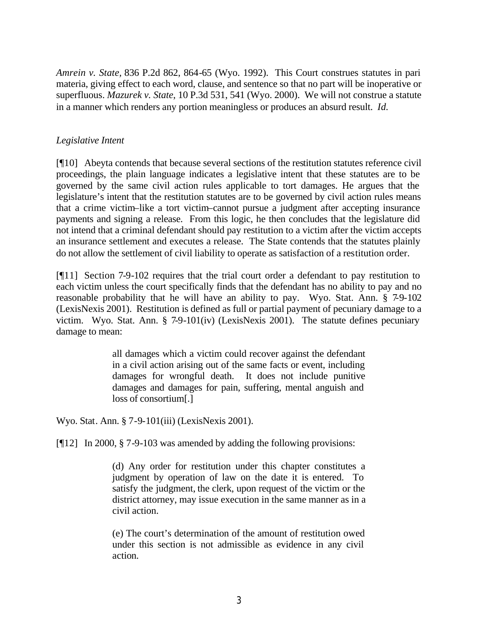*Amrein v. State,* 836 P.2d 862, 864-65 (Wyo. 1992). This Court construes statutes in pari materia, giving effect to each word, clause, and sentence so that no part will be inoperative or superfluous. *Mazurek v. State*, 10 P.3d 531, 541 (Wyo. 2000). We will not construe a statute in a manner which renders any portion meaningless or produces an absurd result. *Id.*

### *Legislative Intent*

[¶10] Abeyta contends that because several sections of the restitution statutes reference civil proceedings, the plain language indicates a legislative intent that these statutes are to be governed by the same civil action rules applicable to tort damages. He argues that the legislature's intent that the restitution statutes are to be governed by civil action rules means that a crime victim–like a tort victim–cannot pursue a judgment after accepting insurance payments and signing a release. From this logic, he then concludes that the legislature did not intend that a criminal defendant should pay restitution to a victim after the victim accepts an insurance settlement and executes a release. The State contends that the statutes plainly do not allow the settlement of civil liability to operate as satisfaction of a restitution order.

[¶11] Section 7-9-102 requires that the trial court order a defendant to pay restitution to each victim unless the court specifically finds that the defendant has no ability to pay and no reasonable probability that he will have an ability to pay. Wyo. Stat. Ann. § 7-9-102 (LexisNexis 2001). Restitution is defined as full or partial payment of pecuniary damage to a victim. Wyo. Stat. Ann. § 7-9-101(iv) (LexisNexis 2001). The statute defines pecuniary damage to mean:

> all damages which a victim could recover against the defendant in a civil action arising out of the same facts or event, including damages for wrongful death. It does not include punitive damages and damages for pain, suffering, mental anguish and loss of consortium[.]

Wyo. Stat. Ann. § 7-9-101(iii) (LexisNexis 2001).

[¶12] In 2000, § 7-9-103 was amended by adding the following provisions:

(d) Any order for restitution under this chapter constitutes a judgment by operation of law on the date it is entered. To satisfy the judgment, the clerk, upon request of the victim or the district attorney, may issue execution in the same manner as in a civil action.

(e) The court's determination of the amount of restitution owed under this section is not admissible as evidence in any civil action.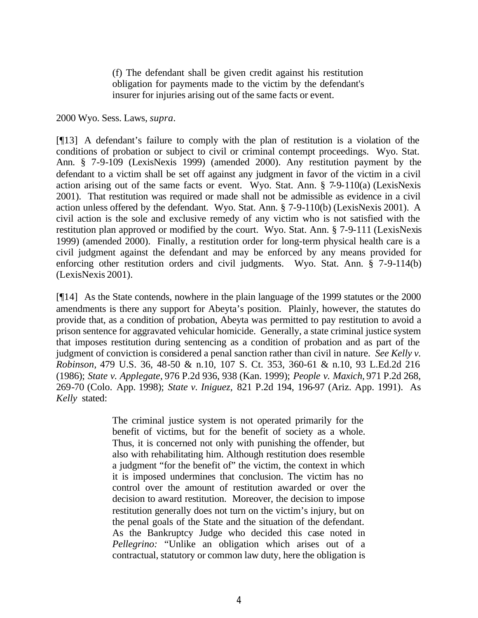(f) The defendant shall be given credit against his restitution obligation for payments made to the victim by the defendant's insurer for injuries arising out of the same facts or event.

2000 Wyo. Sess. Laws, *supra*.

[¶13] A defendant's failure to comply with the plan of restitution is a violation of the conditions of probation or subject to civil or criminal contempt proceedings. Wyo. Stat. Ann. § 7-9-109 (LexisNexis 1999) (amended 2000). Any restitution payment by the defendant to a victim shall be set off against any judgment in favor of the victim in a civil action arising out of the same facts or event. Wyo. Stat. Ann. § 7-9-110(a) (LexisNexis 2001). That restitution was required or made shall not be admissible as evidence in a civil action unless offered by the defendant. Wyo. Stat. Ann. § 7-9-110(b) (LexisNexis 2001). A civil action is the sole and exclusive remedy of any victim who is not satisfied with the restitution plan approved or modified by the court. Wyo. Stat. Ann. § 7-9-111 (LexisNexis 1999) (amended 2000). Finally, a restitution order for long-term physical health care is a civil judgment against the defendant and may be enforced by any means provided for enforcing other restitution orders and civil judgments. Wyo. Stat. Ann. § 7-9-114(b) (LexisNexis 2001).

[¶14] As the State contends, nowhere in the plain language of the 1999 statutes or the 2000 amendments is there any support for Abeyta's position. Plainly, however, the statutes do provide that, as a condition of probation, Abeyta was permitted to pay restitution to avoid a prison sentence for aggravated vehicular homicide. Generally, a state criminal justice system that imposes restitution during sentencing as a condition of probation and as part of the judgment of conviction is considered a penal sanction rather than civil in nature. *See Kelly v. Robinson,* 479 U.S. 36, 48-50 & n.10, 107 S. Ct. 353, 360-61 & n.10, 93 L.Ed.2d 216 (1986); *State v. Applegate,* 976 P.2d 936, 938 (Kan. 1999); *People v. Maxich,* 971 P.2d 268, 269-70 (Colo. App. 1998); *State v. Iniguez,* 821 P.2d 194, 196-97 (Ariz. App. 1991). As *Kelly* stated:

> The criminal justice system is not operated primarily for the benefit of victims, but for the benefit of society as a whole. Thus, it is concerned not only with punishing the offender, but also with rehabilitating him. Although restitution does resemble a judgment "for the benefit of" the victim, the context in which it is imposed undermines that conclusion. The victim has no control over the amount of restitution awarded or over the decision to award restitution. Moreover, the decision to impose restitution generally does not turn on the victim's injury, but on the penal goals of the State and the situation of the defendant. As the Bankruptcy Judge who decided this case noted in *Pellegrino:* "Unlike an obligation which arises out of a contractual, statutory or common law duty, here the obligation is